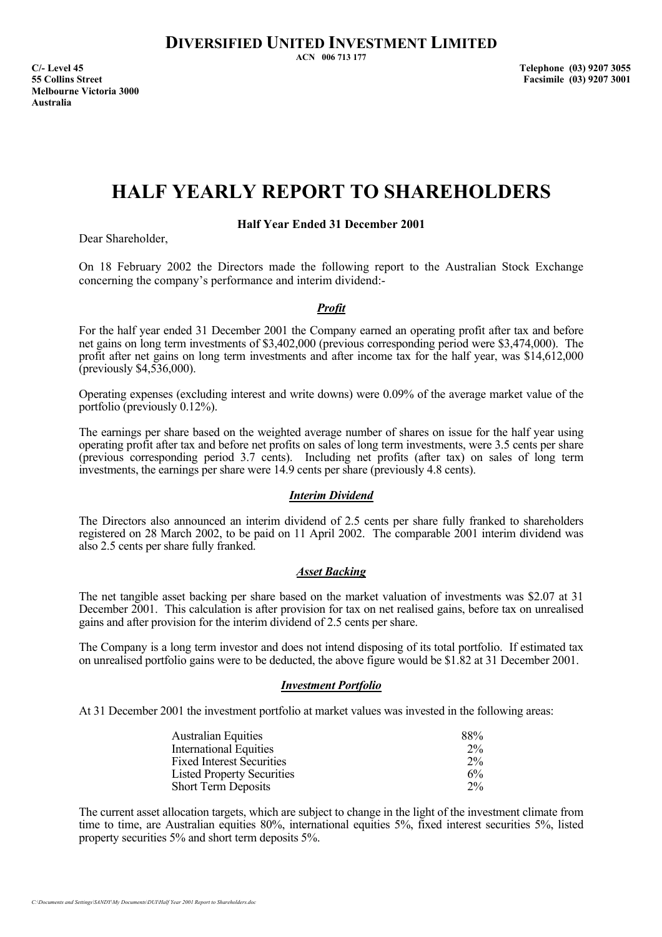**ACN 006 713 177** 

**C/- Level 45 Telephone (03) 9207 3055 55 Collins Street Facsimile (03) 9207 3001 Melbourne Victoria 3000 Australia** 

# **HALF YEARLY REPORT TO SHAREHOLDERS**

**Half Year Ended 31 December 2001** 

Dear Shareholder,

On 18 February 2002 the Directors made the following report to the Australian Stock Exchange concerning the company's performance and interim dividend:-

### *Profit*

For the half year ended 31 December 2001 the Company earned an operating profit after tax and before net gains on long term investments of \$3,402,000 (previous corresponding period were \$3,474,000). The profit after net gains on long term investments and after income tax for the half year, was \$14,612,000 (previously \$4,536,000).

Operating expenses (excluding interest and write downs) were 0.09% of the average market value of the portfolio (previously 0.12%).

The earnings per share based on the weighted average number of shares on issue for the half year using operating profit after tax and before net profits on sales of long term investments, were 3.5 cents per share (previous corresponding period 3.7 cents). Including net profits (after tax) on sales of long term investments, the earnings per share were 14.9 cents per share (previously 4.8 cents).

### *Interim Dividend*

The Directors also announced an interim dividend of 2.5 cents per share fully franked to shareholders registered on 28 March 2002, to be paid on 11 April 2002. The comparable 2001 interim dividend was also 2.5 cents per share fully franked.

### *Asset Backing*

The net tangible asset backing per share based on the market valuation of investments was \$2.07 at 31 December 2001. This calculation is after provision for tax on net realised gains, before tax on unrealised gains and after provision for the interim dividend of 2.5 cents per share.

The Company is a long term investor and does not intend disposing of its total portfolio. If estimated tax on unrealised portfolio gains were to be deducted, the above figure would be \$1.82 at 31 December 2001.

### *Investment Portfolio*

At 31 December 2001 the investment portfolio at market values was invested in the following areas:

| <b>Australian Equities</b>        | 88%   |
|-----------------------------------|-------|
| <b>International Equities</b>     | $2\%$ |
| <b>Fixed Interest Securities</b>  | $2\%$ |
| <b>Listed Property Securities</b> | $6\%$ |
| <b>Short Term Deposits</b>        | $2\%$ |

The current asset allocation targets, which are subject to change in the light of the investment climate from time to time, are Australian equities 80%, international equities 5%, fixed interest securities 5%, listed property securities 5% and short term deposits 5%.